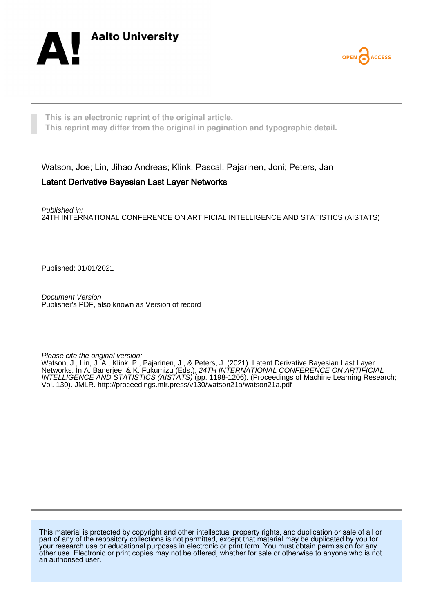



**This is an electronic reprint of the original article. This reprint may differ from the original in pagination and typographic detail.**

Watson, Joe; Lin, Jihao Andreas; Klink, Pascal; Pajarinen, Joni; Peters, Jan

# Latent Derivative Bayesian Last Layer Networks

Published in: 24TH INTERNATIONAL CONFERENCE ON ARTIFICIAL INTELLIGENCE AND STATISTICS (AISTATS)

Published: 01/01/2021

Document Version Publisher's PDF, also known as Version of record

Please cite the original version:

Watson, J., Lin, J. A., Klink, P., Pajarinen, J., & Peters, J. (2021). Latent Derivative Bayesian Last Layer Networks. In A. Banerjee, & K. Fukumizu (Eds.), 24TH INTERNATIONAL CONFERENCE ON ARTIFICIAL INTELLIGENCE AND STATISTICS (AISTATS) (pp. 1198-1206). (Proceedings of Machine Learning Research; Vol. 130). JMLR.<http://proceedings.mlr.press/v130/watson21a/watson21a.pdf>

This material is protected by copyright and other intellectual property rights, and duplication or sale of all or part of any of the repository collections is not permitted, except that material may be duplicated by you for your research use or educational purposes in electronic or print form. You must obtain permission for any other use. Electronic or print copies may not be offered, whether for sale or otherwise to anyone who is not an authorised user.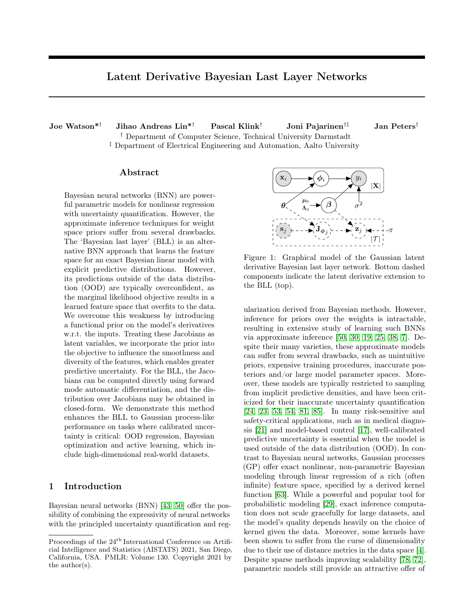# Latent Derivative Bayesian Last Layer Networks

Joe Watson\*† Jihao Andreas Lin\*† Pascal Klink† Joni Pajarinen†‡ Jan Peters† † Department of Computer Science, Technical University Darmstadt ‡ Department of Electrical Engineering and Automation, Aalto University

### Abstract

Bayesian neural networks (BNN) are powerful parametric models for nonlinear regression with uncertainty quantification. However, the approximate inference techniques for weight space priors suffer from several drawbacks. The 'Bayesian last layer' (BLL) is an alternative BNN approach that learns the feature space for an exact Bayesian linear model with explicit predictive distributions. However, its predictions outside of the data distribution (OOD) are typically overconfident, as the marginal likelihood objective results in a learned feature space that overfits to the data. We overcome this weakness by introducing a functional prior on the model's derivatives w.r.t. the inputs. Treating these Jacobians as latent variables, we incorporate the prior into the objective to influence the smoothness and diversity of the features, which enables greater predictive uncertainty. For the BLL, the Jacobians can be computed directly using forward mode automatic differentiation, and the distribution over Jacobians may be obtained in closed-form. We demonstrate this method enhances the BLL to Gaussian process-like performance on tasks where calibrated uncertainty is critical: OOD regression, Bayesian optimization and active learning, which include high-dimensional real-world datasets.

## 1 Introduction

Bayesian neural networks (BNN) [\[43,](#page-11-0) [50\]](#page-11-1) offer the possibility of combining the expressivity of neural networks with the principled uncertainty quantification and reg-



Figure 1: Graphical model of the Gaussian latent derivative Bayesian last layer network. Bottom dashed components indicate the latent derivative extension to the BLL (top).

ularization derived from Bayesian methods. However, inference for priors over the weights is intractable, resulting in extensive study of learning such BNNs via approximate inference [\[50,](#page-11-1) [30,](#page-10-0) [19,](#page-10-1) [25,](#page-10-2) [38,](#page-11-2) [7\]](#page-9-0). Despite their many varieties, these approximate models can suffer from several drawbacks, such as unintuitive priors, expensive training procedures, inaccurate posteriors and/or large model parameter spaces. Moreover, these models are typically restricted to sampling from implicit predictive densities, and have been criticized for their inaccurate uncertainty quantification [\[24,](#page-10-3) [23,](#page-10-4) [53,](#page-11-3) [54,](#page-11-4) [81,](#page-12-0) [85\]](#page-13-0). In many risk-sensitive and safety-critical applications, such as in medical diagnosis [\[21\]](#page-10-5) and model-based control [\[17\]](#page-10-6), well-calibrated predictive uncertainty is essential when the model is used outside of the data distribution (OOD). In contrast to Bayesian neural networks, Gaussian processes (GP) offer exact nonlinear, non-parametric Bayesian modeling through linear regression of a rich (often infinite) feature space, specified by a derived kernel function [\[63\]](#page-12-1). While a powerful and popular tool for probabilistic modeling [\[29\]](#page-10-7), exact inference computation does not scale gracefully for large datasets, and the model's quality depends heavily on the choice of kernel given the data. Moreover, some kernels have been shown to suffer from the curse of dimensionality due to their use of distance metrics in the data space [\[4\]](#page-9-1). Despite sparse methods improving scalability [\[78,](#page-12-2) [72\]](#page-12-3), parametric models still provide an attractive offer of

Proceedings of the  $24^{\rm th}$  International Conference on Artificial Intelligence and Statistics (AISTATS) 2021, San Diego, California, USA. PMLR: Volume 130. Copyright 2021 by the author(s).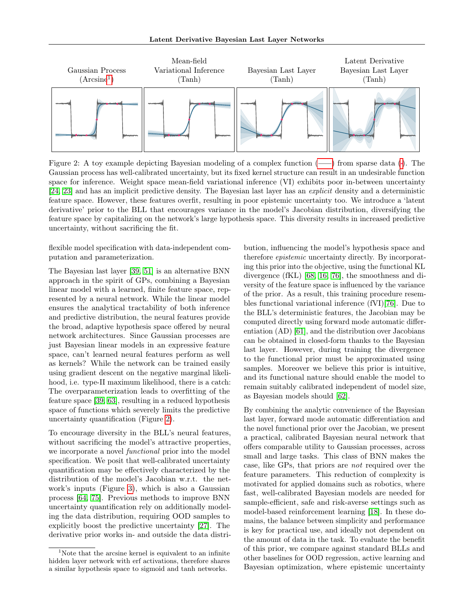<span id="page-2-2"></span>

<span id="page-2-1"></span>Figure 2: A toy example depicting Bayesian modeling of a complex function  $($ — $)$  from sparse data  $($ <sup> $)$ </sup>. The Gaussian process has well-calibrated uncertainty, but its fixed kernel structure can result in an undesirable function space for inference. Weight space mean-field variational inference (VI) exhibits poor in-between uncertainty [\[24,](#page-10-3) [23\]](#page-10-4) and has an implicit predictive density. The Bayesian last layer has an explicit density and a deterministic feature space. However, these features overfit, resulting in poor epistemic uncertainty too. We introduce a 'latent derivative' prior to the BLL that encourages variance in the model's Jacobian distribution, diversifying the feature space by capitalizing on the network's large hypothesis space. This diversity results in increased predictive uncertainty, without sacrificing the fit.

flexible model specification with data-independent computation and parameterization.

The Bayesian last layer [\[39,](#page-11-5) [51\]](#page-11-6) is an alternative BNN approach in the spirit of GPs, combining a Bayesian linear model with a learned, finite feature space, represented by a neural network. While the linear model ensures the analytical tractability of both inference and predictive distribution, the neural features provide the broad, adaptive hypothesis space offered by neural network architectures. Since Gaussian processes are just Bayesian linear models in an expressive feature space, can't learned neural features perform as well as kernels? While the network can be trained easily using gradient descent on the negative marginal likelihood, i.e. type-II maximum likelihood, there is a catch: The overparameterization leads to overfitting of the feature space [\[39,](#page-11-5) [63\]](#page-12-1), resulting in a reduced hypothesis space of functions which severely limits the predictive uncertainty quantification (Figure [2\)](#page-2-2).

To encourage diversity in the BLL's neural features, without sacrificing the model's attractive properties, we incorporate a novel functional prior into the model specification. We posit that well-calibrated uncertainty quantification may be effectively characterized by the distribution of the model's Jacobian w.r.t. the network's inputs (Figure [3\)](#page-3-0), which is also a Gaussian process [\[64,](#page-12-4) [75\]](#page-12-5). Previous methods to improve BNN uncertainty quantification rely on additionally modeling the data distribution, requiring OOD samples to explicitly boost the predictive uncertainty [\[27\]](#page-10-8). The derivative prior works in- and outside the data distribution, influencing the model's hypothesis space and therefore epistemic uncertainty directly. By incorporating this prior into the objective, using the functional KL divergence (fKL) [\[68,](#page-12-6) [16,](#page-10-9) [76\]](#page-12-7), the smoothness and diversity of the feature space is influenced by the variance of the prior. As a result, this training procedure resembles functional variational inference (fVI)[\[76\]](#page-12-7). Due to the BLL's deterministic features, the Jacobian may be computed directly using forward mode automatic differentiation (AD) [\[61\]](#page-12-8), and the distribution over Jacobians can be obtained in closed-form thanks to the Bayesian last layer. However, during training the divergence to the functional prior must be approximated using samples. Moreover we believe this prior is intuitive, and its functional nature should enable the model to remain suitably calibrated independent of model size, as Bayesian models should [\[62\]](#page-12-9).

By combining the analytic convenience of the Bayesian last layer, forward mode automatic differentiation and the novel functional prior over the Jacobian, we present a practical, calibrated Bayesian neural network that offers comparable utility to Gaussian processes, across small and large tasks. This class of BNN makes the case, like GPs, that priors are not required over the feature parameters. This reduction of complexity is motivated for applied domains such as robotics, where fast, well-calibrated Bayesian models are needed for sample-efficient, safe and risk-averse settings such as model-based reinforcement learning [\[18\]](#page-10-10). In these domains, the balance between simplicity and performance is key for practical use, and ideally not dependent on the amount of data in the task. To evaluate the benefit of this prior, we compare against standard BLLs and other baselines for OOD regression, active learning and Bayesian optimization, where epistemic uncertainty

<span id="page-2-0"></span><sup>&</sup>lt;sup>1</sup>Note that the arcsine kernel is equivalent to an infinite hidden layer network with erf activations, therefore shares a similar hypothesis space to sigmoid and tanh networks.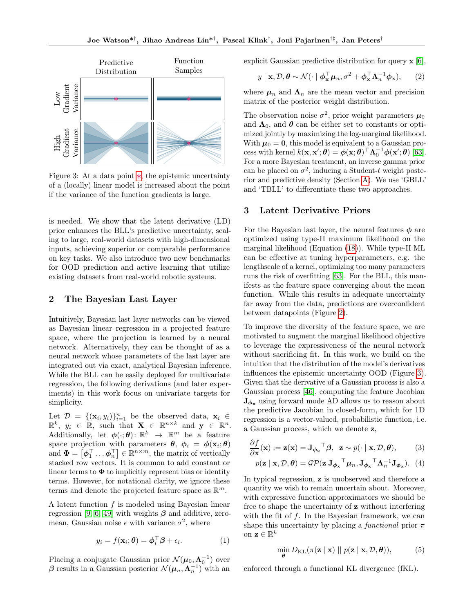<span id="page-3-0"></span>

<span id="page-3-1"></span>Figure 3: At a data point  $\ast$ [,](#page-3-1) the epistemic uncertainty of a (locally) linear model is increased about the point if the variance of the function gradients is large.

is needed. We show that the latent derivative (LD) prior enhances the BLL's predictive uncertainty, scaling to large, real-world datasets with high-dimensional inputs, achieving superior or comparable performance on key tasks. We also introduce two new benchmarks for OOD prediction and active learning that utilize existing datasets from real-world robotic systems.

# 2 The Bayesian Last Layer

Intuitively, Bayesian last layer networks can be viewed as Bayesian linear regression in a projected feature space, where the projection is learned by a neural network. Alternatively, they can be thought of as a neural network whose parameters of the last layer are integrated out via exact, analytical Bayesian inference. While the BLL can be easily deployed for multivariate regression, the following derivations (and later experiments) in this work focus on univariate targets for simplicity.

Let  $\mathcal{D} = \{(\mathbf{x}_i, y_i)\}_{i=1}^n$  be the observed data,  $\mathbf{x}_i \in$  $\mathbb{R}^k$ ,  $y_i \in \mathbb{R}$ , such that  $\mathbf{X} \in \mathbb{R}^{n \times k}$  and  $\mathbf{y} \in \mathbb{R}^n$ . Additionally, let  $\phi(\cdot;\theta)$ :  $\mathbb{R}^k \to \mathbb{R}^m$  be a feature space projection with parameters  $\theta$ ,  $\phi_i = \phi(\mathbf{x}_i;\theta)$ and  $\boldsymbol{\Phi} = \left[\boldsymbol{\phi}_1^\top \dots \boldsymbol{\phi}_n^\top \right] \in \mathbb{R}^{n \times m}$ , the matrix of vertically stacked row vectors. It is common to add constant or linear terms to  $\Phi$  to implicitly represent bias or identity terms. However, for notational clarity, we ignore these terms and denote the projected feature space as  $\mathbb{R}^m$ .

A latent function f is modeled using Bayesian linear regression [\[9,](#page-9-2) [6,](#page-9-3) [49\]](#page-11-7) with weights  $\beta$  and additive, zeromean, Gaussian noise  $\epsilon$  with variance  $\sigma^2$ , where

$$
y_i = f(\mathbf{x}_i; \boldsymbol{\theta}) = \boldsymbol{\phi}_i^{\top} \boldsymbol{\beta} + \epsilon_i.
$$
 (1)

Placing a conjugate Gaussian prior  $\mathcal{N}(\mu_0, \Lambda_0^{-1})$  over  $\beta$  results in a Gaussian posterior  $\mathcal{N}(\mu_n, \Lambda_n^{-1})$  with an explicit Gaussian predictive distribution for query x [\[6\]](#page-9-3),

<span id="page-3-2"></span>
$$
y \mid \mathbf{x}, \mathcal{D}, \boldsymbol{\theta} \sim \mathcal{N}(\cdot \mid \boldsymbol{\phi}_{\mathbf{x}}^{\top} \boldsymbol{\mu}_n, \sigma^2 + \boldsymbol{\phi}_{\mathbf{x}}^{\top} \boldsymbol{\Lambda}_n^{-1} \boldsymbol{\phi}_{\mathbf{x}}), \qquad (2)
$$

where  $\mu_n$  and  $\Lambda_n$  are the mean vector and precision matrix of the posterior weight distribution.

The observation noise  $\sigma^2$ , prior weight parameters  $\mu_0$ and  $\Lambda_0$ , and  $\theta$  can be either set to constants or optimized jointly by maximizing the log-marginal likelihood. With  $\mu_0 = 0$ , this model is equivalent to a Gaussian process with kernel  $k(\mathbf{x}, \mathbf{x}'; \boldsymbol{\theta}) = \boldsymbol{\phi}(\mathbf{x}; \boldsymbol{\theta})^{\top} \boldsymbol{\Lambda}_0^{-1} \boldsymbol{\phi}(\mathbf{x}'; \boldsymbol{\theta})$  [\[63\]](#page-12-1). For a more Bayesian treatment, an inverse gamma prior can be placed on  $\sigma^2$ , inducing a Student-t weight posterior and predictive density (Section [A\)](#page--1-0). We use 'GBLL' and 'TBLL' to differentiate these two approaches.

### 3 Latent Derivative Priors

For the Bayesian last layer, the neural features  $\phi$  are optimized using type-II maximum likelihood on the marginal likelihood (Equation [\(18\)](#page--1-1)). While type-II ML can be effective at tuning hyperparameters, e.g. the lengthscale of a kernel, optimizing too many parameters runs the risk of overfitting [\[63\]](#page-12-1). For the BLL, this manifests as the feature space converging about the mean function. While this results in adequate uncertainty far away from the data, predictions are overconfident between datapoints (Figure [2\)](#page-2-2).

To improve the diversity of the feature space, we are motivated to augment the marginal likelihood objective to leverage the expressiveness of the neural network without sacrificing fit. In this work, we build on the intuition that the distribution of the model's derivatives influences the epistemic uncertainty OOD (Figure [3\)](#page-3-0). Given that the derivative of a Gaussian process is also a Gaussian process [\[46\]](#page-11-8), computing the feature Jacobian  $J_{\phi_{x}}$  using forward mode AD allows us to reason about the predictive Jacobian in closed-form, which for 1D regression is a vector-valued, probabilistic function, i.e. a Gaussian process, which we denote z,

$$
\frac{\partial f}{\partial \mathbf{x}}(\mathbf{x}) := \mathbf{z}(\mathbf{x}) = \mathbf{J}_{\phi_{\mathbf{x}}}^\top \boldsymbol{\beta}, \quad \mathbf{z} \sim p(\cdot \mid \mathbf{x}, \mathcal{D}, \boldsymbol{\theta}), \tag{3}
$$

<span id="page-3-4"></span><span id="page-3-3"></span>
$$
p(\mathbf{z} \mid \mathbf{x}, \mathcal{D}, \boldsymbol{\theta}) = \mathcal{GP}(\mathbf{z} \mid \mathbf{J}_{\boldsymbol{\phi}_{\mathbf{x}}}^{\top} \boldsymbol{\mu}_n, \mathbf{J}_{\boldsymbol{\phi}_{\mathbf{x}}}^{\top} \boldsymbol{\Lambda}_n^{-1} \mathbf{J}_{\boldsymbol{\phi}_{\mathbf{x}}}). \tag{4}
$$

In typical regression, z is unobserved and therefore a quantity we wish to remain uncertain about. Moreover, with expressive function approximators we should be free to shape the uncertainty of z without interfering with the fit of  $f$ . In the Bayesian framework, we can shape this uncertainty by placing a functional prior  $\pi$ on  $\mathbf{z} \in \mathbb{R}^k$ 

$$
\min_{\boldsymbol{\theta}} D_{\mathrm{KL}}(\pi(\mathbf{z} \mid \mathbf{x}) \mid p(\mathbf{z} \mid \mathbf{x}, \mathcal{D}, \boldsymbol{\theta})), \tag{5}
$$

enforced through a functional KL divergence (fKL).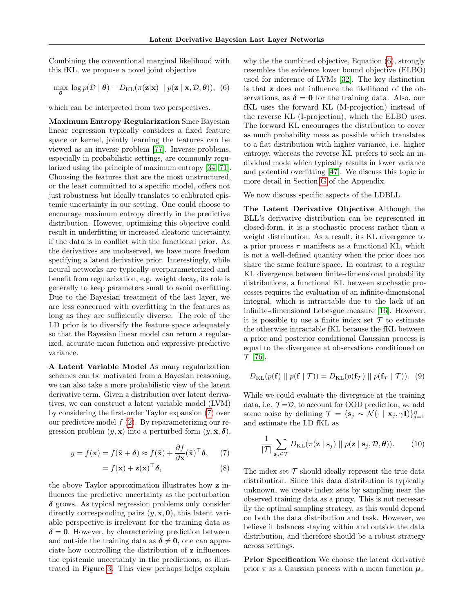Combining the conventional marginal likelihood with this fKL, we propose a novel joint objective

$$
\max_{\boldsymbol{\theta}} \log p(\mathcal{D} | \boldsymbol{\theta}) - D_{\mathrm{KL}}(\pi(\mathbf{z}|\mathbf{x}) || p(\mathbf{z} | \mathbf{x}, \mathcal{D}, \boldsymbol{\theta})), (6)
$$

which can be interpreted from two perspectives.

Maximum Entropy Regularization Since Bayesian linear regression typically considers a fixed feature space or kernel, jointly learning the features can be viewed as an inverse problem [\[77\]](#page-12-10). Inverse problems, especially in probabilistic settings, are commonly regularized using the principle of maximum entropy [\[34,](#page-10-11) [71\]](#page-12-11). Choosing the features that are the most unstructured, or the least committed to a specific model, offers not just robustness but ideally translates to calibrated epistemic uncertainty in our setting. One could choose to encourage maximum entropy directly in the predictive distribution. However, optimizing this objective could result in underfitting or increased aleatoric uncertainty, if the data is in conflict with the functional prior. As the derivatives are unobserved, we have more freedom specifying a latent derivative prior. Interestingly, while neural networks are typically overparameterized and benefit from regularization, e.g. weight decay, its role is generally to keep parameters small to avoid overfitting. Due to the Bayesian treatment of the last layer, we are less concerned with overfitting in the features as long as they are sufficiently diverse. The role of the LD prior is to diversify the feature space adequately so that the Bayesian linear model can return a regularized, accurate mean function and expressive predictive variance.

A Latent Variable Model As many regularization schemes can be motivated from a Bayesian reasoning, we can also take a more probabilistic view of the latent derivative term. Given a distribution over latent derivatives, we can construct a latent variable model (LVM) by considering the first-order Taylor expansion [\(7\)](#page-4-0) over our predictive model  $f(2)$  $f(2)$ . By reparameterizing our regression problem  $(y, x)$  into a perturbed form  $(y, \bar{x}, \delta)$ ,

$$
y = f(\mathbf{x}) = f(\bar{\mathbf{x}} + \boldsymbol{\delta}) \approx f(\bar{\mathbf{x}}) + \frac{\partial f}{\partial \mathbf{x}}(\bar{\mathbf{x}})^{\top} \boldsymbol{\delta}, \quad (7)
$$

$$
= f(\bar{\mathbf{x}}) + \mathbf{z}(\bar{\mathbf{x}})^{\top} \boldsymbol{\delta}, \tag{8}
$$

the above Taylor approximation illustrates how z influences the predictive uncertainty as the perturbation  $\delta$  grows. As typical regression problems only consider directly corresponding pairs  $(y, \bar{\mathbf{x}}, \mathbf{0})$ , this latent variable perspective is irrelevant for the training data as  $\delta = 0$ . However, by characterizing prediction between and outside the training data as  $\delta \neq 0$ , one can appreciate how controlling the distribution of z influences the epistemic uncertainty in the predictions, as illustrated in Figure [3.](#page-3-0) This view perhaps helps explain

<span id="page-4-1"></span>why the the combined objective, Equation [\(6\)](#page-4-1), strongly resembles the evidence lower bound objective (ELBO) used for inference of LVMs [\[32\]](#page-10-12). The key distinction is that z does not influence the likelihood of the observations, as  $\delta = 0$  for the training data. Also, our fKL uses the forward KL (M-projection) instead of the reverse KL (I-projection), which the ELBO uses. The forward KL encourages the distribution to cover as much probability mass as possible which translates to a flat distribution with higher variance, i.e. higher entropy, whereas the reverse KL prefers to seek an individual mode which typically results in lower variance and potential overfitting [\[47\]](#page-11-9). We discuss this topic in more detail in Section [G](#page--1-2) of the Appendix.

We now discuss specific aspects of the LDBLL.

The Latent Derivative Objective Although the BLL's derivative distribution can be represented in closed-form, it is a stochastic process rather than a weight distribution. As a result, its KL divergence to a prior process  $\pi$  manifests as a functional KL, which is not a well-defined quantity when the prior does not share the same feature space. In contrast to a regular KL divergence between finite-dimensional probability distributions, a functional KL between stochastic processes requires the evaluation of an infinite-dimensional integral, which is intractable due to the lack of an infinite-dimensional Lebesgue measure [\[16\]](#page-10-9). However, it is possible to use a finite index set  $\mathcal T$  to estimate the otherwise intractable fKL because the fKL between a prior and posterior conditional Gaussian process is equal to the divergence at observations conditioned on  $\mathcal{T}$  [\[76\]](#page-12-7),

$$
D_{\mathrm{KL}}(p(\mathbf{f}) \parallel p(\mathbf{f} \mid \mathcal{T})) = D_{\mathrm{KL}}(p(\mathbf{f}_{\mathcal{T}}) \parallel p(\mathbf{f}_{\mathcal{T}} \mid \mathcal{T})). \tag{9}
$$

While we could evaluate the divergence at the training data, i.e.  $\mathcal{T} = \mathcal{D}$ , to account for OOD prediction, we add some noise by defining  $\mathcal{T} = \{\mathbf{s}_j \sim \mathcal{N}(\cdot \mid \mathbf{x}_j, \gamma \mathbf{I})\}_{j=1}^n$ and estimate the LD fKL as

$$
\frac{1}{|\mathcal{T}|} \sum_{\mathbf{s}_j \in \mathcal{T}} D_{\mathrm{KL}}(\pi(\mathbf{z} \mid \mathbf{s}_j) \mid p(\mathbf{z} \mid \mathbf{s}_j, \mathcal{D}, \boldsymbol{\theta})). \tag{10}
$$

<span id="page-4-0"></span>The index set  $\mathcal T$  should ideally represent the true data distribution. Since this data distribution is typically unknown, we create index sets by sampling near the observed training data as a proxy. This is not necessarily the optimal sampling strategy, as this would depend on both the data distribution and task. However, we believe it balances staying within and outside the data distribution, and therefore should be a robust strategy across settings.

Prior Specification We choose the latent derivative prior  $\pi$  as a Gaussian process with a mean function  $\mu_{\pi}$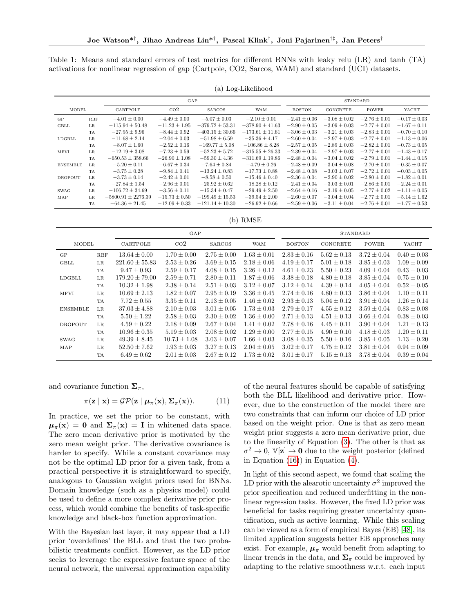Table 1: Means and standard errors of test metrics for different BNNs with leaky relu (LR) and tanh (TA) activations for nonlinear regression of gap (Cartpole, CO2, Sarcos, WAM) and standard (UCI) datasets.

| $\cdot$ .       |            |                        |                   |                     |                     |                  |                  |                  |                  |
|-----------------|------------|------------------------|-------------------|---------------------|---------------------|------------------|------------------|------------------|------------------|
|                 |            | GAP                    |                   |                     |                     | STANDARD         |                  |                  |                  |
| MODEL           |            | CARTPOLE               | $\rm{CO2}$        | <b>SARCOS</b>       | <b>WAM</b>          | <b>BOSTON</b>    | CONCRETE         | <b>POWER</b>     | YACHT            |
| GP              | <b>RBF</b> | $-4.01 \pm 0.00$       | $-4.49 \pm 0.00$  | $-5.07 \pm 0.03$    | $-2.10 \pm 0.01$    | $-2.41 \pm 0.06$ | $-3.08 \pm 0.02$ | $-2.76 \pm 0.01$ | $-0.17 \pm 0.03$ |
| GBLL            | <b>LR</b>  | $-115.94 \pm 50.48$    | $-11.23 \pm 1.95$ | $-379.72 \pm 53.31$ | $-378.90 \pm 41.63$ | $-2.90 \pm 0.05$ | $-3.09 \pm 0.03$ | $-2.77 \pm 0.01$ | $-1.67 \pm 0.11$ |
|                 | TA         | $-27.95 \pm 9.96$      | $-8.44 \pm 0.92$  | $-403.15 \pm 30.66$ | $-173.61 \pm 11.61$ | $-3.06 \pm 0.03$ | $-3.21 \pm 0.03$ | $-2.83 \pm 0.01$ | $-0.70 \pm 0.10$ |
| LDGBLL          | <b>LR</b>  | $-11.68 \pm 2.14$      | $-2.04 \pm 0.03$  | $-51.98 \pm 6.59$   | $-35.36 \pm 4.17$   | $-2.60 \pm 0.04$ | $-2.97 \pm 0.03$ | $-2.77 \pm 0.01$ | $-1.13 \pm 0.06$ |
|                 | TA         | $-8.07 \pm 1.60$       | $-2.52 \pm 0.16$  | $-169.77 \pm 5.08$  | $-106.86 \pm 8.28$  | $-2.57 \pm 0.05$ | $-2.89 \pm 0.03$ | $-2.82 \pm 0.01$ | $-0.73 \pm 0.05$ |
| <b>MFVI</b>     | <b>LR</b>  | $-12.19 \pm 3.08$      | $-7.23 \pm 0.59$  | $-52.23 \pm 5.72$   | $-315.55 \pm 26.33$ | $-2.39 \pm 0.04$ | $-2.97 \pm 0.03$ | $-2.77 \pm 0.01$ | $-1.43 \pm 0.17$ |
|                 | TA         | $-650.53 \pm 358.66$   | $-26.90 \pm 1.08$ | $-59.30 \pm 4.36$   | $-311.69 \pm 19.86$ | $-2.48 \pm 0.04$ | $-3.04 \pm 0.02$ | $-2.79 \pm 0.01$ | $-1.44 \pm 0.15$ |
| <b>ENSEMBLE</b> | LR         | $-5.20 \pm 0.11$       | $-6.67 \pm 0.34$  | $-7.64 \pm 0.84$    | $-4.79 \pm 0.26$    | $-2.48 \pm 0.09$ | $-3.04 \pm 0.08$ | $-2.70 \pm 0.01$ | $-0.35 \pm 0.07$ |
|                 | TA         | $-3.75 \pm 0.28$       | $-9.84 \pm 0.41$  | $-13.24 \pm 0.83$   | $-17.73 \pm 0.88$   | $-2.48 \pm 0.08$ | $-3.03 \pm 0.07$ | $-2.72 \pm 0.01$ | $-0.03 \pm 0.05$ |
| DROPOUT         | $_{LR}$    | $-3.73 \pm 0.14$       | $-2.42 \pm 0.01$  | $-8.58 \pm 0.50$    | $-15.46 \pm 0.40$   | $-2.36 \pm 0.04$ | $-2.90 \pm 0.02$ | $-2.80 \pm 0.01$ | $-1.82 \pm 0.01$ |
|                 | TA         | $-27.84 \pm 1.54$      | $-2.96 \pm 0.01$  | $-25.92 \pm 0.62$   | $-18.28 \pm 0.12$   | $-2.41 \pm 0.04$ | $-3.03 \pm 0.01$ | $-2.86 \pm 0.01$ | $-2.24 \pm 0.01$ |
| SWAG            | <b>LR</b>  | $-106.72 \pm 34.69$    | $-3.56 \pm 0.11$  | $-15.34 \pm 0.47$   | $-29.49 \pm 2.50$   | $-2.64 \pm 0.16$ | $-3.19 \pm 0.05$ | $-2.77 \pm 0.02$ | $-1.11 \pm 0.05$ |
| MAP             | $_{LR}$    | $-5800.91 \pm 2276.39$ | $-15.73 \pm 0.50$ | $-199.49 \pm 15.53$ | $-39.54 \pm 2.00$   | $-2.60 \pm 0.07$ | $-3.04 \pm 0.04$ | $-2.77 \pm 0.01$ | $-5.14 \pm 1.62$ |
|                 | TA         | $-64.36 \pm 21.45$     | $-12.09 \pm 0.33$ | $-121.14 \pm 10.30$ | $-26.92 \pm 0.66$   | $-2.59 \pm 0.06$ | $-3.11 \pm 0.04$ | $-2.76 \pm 0.01$ | $-1.77 \pm 0.53$ |

(a) Log-Likelihood

(b) RMSE

<span id="page-5-0"></span>

|                 |             | GAP                |                  |                 |                 | STANDARD        |                 |                 |                 |
|-----------------|-------------|--------------------|------------------|-----------------|-----------------|-----------------|-----------------|-----------------|-----------------|
| <b>MODEL</b>    |             | CARTPOLE           | $\rm{CO2}$       | <b>SARCOS</b>   | <b>WAM</b>      | <b>BOSTON</b>   | CONCRETE        | <b>POWER</b>    | YACHT           |
| <b>GP</b>       | <b>RBF</b>  | $13.64 \pm 0.00$   | $1.70 \pm 0.00$  | $2.75 \pm 0.00$ | $1.63 \pm 0.01$ | $2.83 \pm 0.16$ | $5.62 \pm 0.13$ | $3.72 \pm 0.04$ | $0.40 \pm 0.03$ |
| GBLL            | $_{LR}$     | $221.60 \pm 55.83$ | $2.53 \pm 0.26$  | $3.69 \pm 0.15$ | $2.18 \pm 0.06$ | $4.19 \pm 0.17$ | $5.01 \pm 0.18$ | $3.85 \pm 0.03$ | $1.09 \pm 0.09$ |
|                 | <b>TA</b>   | $9.47 \pm 0.93$    | $2.59 \pm 0.17$  | $4.08 \pm 0.15$ | $3.26 \pm 0.12$ | $4.61 \pm 0.23$ | $5.50 \pm 0.23$ | $4.09 \pm 0.04$ | $0.43 \pm 0.03$ |
| LDGBLL          | LR          | $179.20 \pm 79.00$ | $2.59 \pm 0.71$  | $2.80 \pm 0.11$ | $1.87 \pm 0.06$ | $3.38 \pm 0.18$ | $4.80 \pm 0.18$ | $3.85 \pm 0.04$ | $0.75 \pm 0.10$ |
|                 | <b>TA</b>   | $10.32 \pm 1.98$   | $2.38 \pm 0.14$  | $2.51 \pm 0.03$ | $3.12 \pm 0.07$ | $3.12 \pm 0.14$ | $4.39 \pm 0.14$ | $4.05 \pm 0.04$ | $0.52 \pm 0.05$ |
| <b>MFVI</b>     | LR          | $10.69 \pm 2.13$   | $1.82 \pm 0.07$  | $2.95 \pm 0.19$ | $3.36 \pm 0.45$ | $2.74 \pm 0.16$ | $4.80 \pm 0.13$ | $3.86 \pm 0.04$ | $1.10 + 0.11$   |
|                 | TA          | $7.72 \pm 0.55$    | $3.35 \pm 0.11$  | $2.13 \pm 0.05$ | $1.46 \pm 0.02$ | $2.93 \pm 0.13$ | $5.04 \pm 0.12$ | $3.91 \pm 0.04$ | $1.26 \pm 0.14$ |
| <b>ENSEMBLE</b> | $_{LR}$     | $37.03 \pm 4.88$   | $2.10 \pm 0.03$  | $3.01 \pm 0.05$ | $1.73 \pm 0.03$ | $2.79 \pm 0.17$ | $4.55 \pm 0.12$ | $3.59 \pm 0.04$ | $0.83 \pm 0.08$ |
|                 | TA          | $5.50 \pm 1.22$    | $2.58 \pm 0.03$  | $2.30 \pm 0.02$ | $1.36 \pm 0.00$ | $2.71 \pm 0.13$ | $4.51 \pm 0.13$ | $3.66 \pm 0.04$ | $0.38 \pm 0.03$ |
| DROPOUT         | $L_{\rm R}$ | $4.59 \pm 0.22$    | $2.18 \pm 0.09$  | $2.67 \pm 0.04$ | $1.41 \pm 0.02$ | $2.78 \pm 0.16$ | $4.45 \pm 0.11$ | $3.90 \pm 0.04$ | $1.21 \pm 0.13$ |
|                 | <b>TA</b>   | $10.96 \pm 0.35$   | $5.19 \pm 0.03$  | $2.08 \pm 0.02$ | $1.29 \pm 0.00$ | $2.77 \pm 0.15$ | $4.90 \pm 0.10$ | $4.18 \pm 0.03$ | $1.20 \pm 0.11$ |
| <b>SWAG</b>     | LR          | $49.39 \pm 8.45$   | $10.73 \pm 1.08$ | $3.03 \pm 0.07$ | $1.66 \pm 0.03$ | $3.08 \pm 0.35$ | $5.50 \pm 0.16$ | $3.85 \pm 0.05$ | $1.13 \pm 0.20$ |
| MAP             | $_{LR}$     | $52.50 \pm 7.62$   | $1.93 \pm 0.03$  | $3.27 \pm 0.13$ | $2.04 \pm 0.05$ | $3.02 \pm 0.17$ | $4.75 \pm 0.12$ | $3.81 \pm 0.04$ | $0.94 \pm 0.09$ |
|                 | TA          | $6.49 \pm 0.62$    | $2.01 \pm 0.03$  | $2.67 \pm 0.12$ | $1.73 \pm 0.02$ | $3.01 \pm 0.17$ | $5.15 \pm 0.13$ | $3.78 \pm 0.04$ | $0.39 \pm 0.04$ |

and covariance function  $\Sigma_{\pi}$ ,

$$
\pi(\mathbf{z} \mid \mathbf{x}) = \mathcal{GP}(\mathbf{z} \mid \boldsymbol{\mu}_{\pi}(\mathbf{x}), \boldsymbol{\Sigma}_{\pi}(\mathbf{x})). \tag{11}
$$

In practice, we set the prior to be constant, with  $\mu_{\pi}(\mathbf{x}) = \mathbf{0}$  and  $\Sigma_{\pi}(\mathbf{x}) = \mathbf{I}$  in whitened data space. The zero mean derivative prior is motivated by the zero mean weight prior. The derivative covariance is harder to specify. While a constant covariance may not be the optimal LD prior for a given task, from a practical perspective it is straightforward to specify, analogous to Gaussian weight priors used for BNNs. Domain knowledge (such as a physics model) could be used to define a more complex derivative prior process, which would combine the benefits of task-specific knowledge and black-box function approximation.

With the Bayesian last layer, it may appear that a LD prior 'overdefines' the BLL and that the two probabilistic treatments conflict. However, as the LD prior seeks to leverage the expressive feature space of the neural network, the universal approximation capability of the neural features should be capable of satisfying both the BLL likelihood and derivative prior. However, due to the construction of the model there are two constraints that can inform our choice of LD prior based on the weight prior. One is that as zero mean weight prior suggests a zero mean derivative prior, due to the linearity of Equation [\(3\)](#page-3-3). The other is that as  $\sigma^2 \to 0$ ,  $\mathbb{V}[\mathbf{z}] \to \mathbf{0}$  due to the weight posterior (defined in Equation [\(16\)](#page--1-3)) in Equation [\(4\)](#page-3-4).

In light of this second aspect, we found that scaling the LD prior with the alearotic uncertainty  $\sigma^2$  improved the prior specification and reduced underfitting in the nonlinear regression tasks. However, the fixed LD prior was beneficial for tasks requiring greater uncertainty quantification, such as active learning. While this scaling can be viewed as a form of empirical Bayes (EB) [\[48\]](#page-11-10), its limited application suggests better EB approaches may exist. For example,  $\mu_{\pi}$  would benefit from adapting to linear trends in the data, and  $\Sigma_{\pi}$  could be improved by adapting to the relative smoothness w.r.t. each input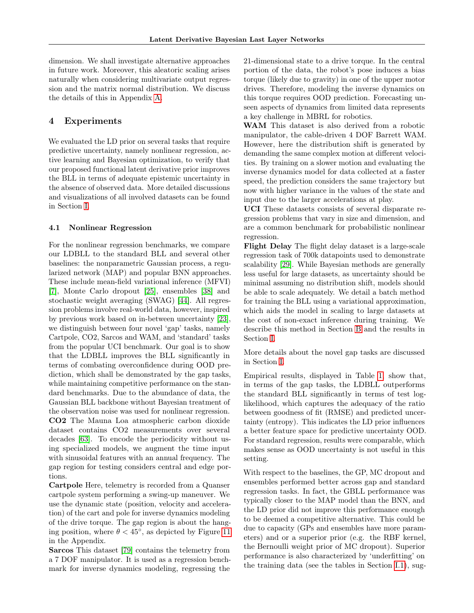dimension. We shall investigate alternative approaches in future work. Moreover, this aleatoric scaling arises naturally when considering multivariate output regression and the matrix normal distribution. We discuss the details of this in Appendix [A.](#page--1-0)

## 4 Experiments

We evaluated the LD prior on several tasks that require predictive uncertainty, namely nonlinear regression, active learning and Bayesian optimization, to verify that our proposed functional latent derivative prior improves the BLL in terms of adequate epistemic uncertainty in the absence of observed data. More detailed discussions and visualizations of all involved datasets can be found in Section [I.](#page--1-0)

#### <span id="page-6-0"></span>4.1 Nonlinear Regression

For the nonlinear regression benchmarks, we compare our LDBLL to the standard BLL and several other baselines: the nonparametric Gaussian process, a regularized network (MAP) and popular BNN approaches. These include mean-field variational inference (MFVI) [\[7\]](#page-9-0), Monte Carlo dropout [\[25\]](#page-10-2), ensembles [\[38\]](#page-11-2) and stochastic weight averaging (SWAG) [\[44\]](#page-11-11). All regression problems involve real-world data, however, inspired by previous work based on in-between uncertainty [\[23\]](#page-10-4), we distinguish between four novel 'gap' tasks, namely Cartpole, CO2, Sarcos and WAM, and 'standard' tasks from the popular UCI benchmark. Our goal is to show that the LDBLL improves the BLL significantly in terms of combating overconfidence during OOD prediction, which shall be demonstrated by the gap tasks, while maintaining competitive performance on the standard benchmarks. Due to the abundance of data, the Gaussian BLL backbone without Bayesian treatment of the observation noise was used for nonlinear regression. CO2 The Mauna Loa atmospheric carbon dioxide dataset contains CO2 measurements over several decades [\[63\]](#page-12-1). To encode the periodicity without using specialized models, we augment the time input with sinusoidal features with an annual frequency. The gap region for testing considers central and edge portions.

Cartpole Here, telemetry is recorded from a Quanser cartpole system performing a swing-up maneuver. We use the dynamic state (position, velocity and acceleration) of the cart and pole for inverse dynamics modeling of the drive torque. The gap region is about the hanging position, where  $\theta < 45^{\circ}$ , as depicted by Figure [11](#page--1-4) in the Appendix.

Sarcos This dataset [\[79\]](#page-12-12) contains the telemetry from a 7 DOF manipulator. It is used as a regression benchmark for inverse dynamics modeling, regressing the 21-dimensional state to a drive torque. In the central portion of the data, the robot's pose induces a bias torque (likely due to gravity) in one of the upper motor drives. Therefore, modeling the inverse dynamics on this torque requires OOD prediction. Forecasting unseen aspects of dynamics from limited data represents a key challenge in MBRL for robotics.

WAM This dataset is also derived from a robotic manipulator, the cable-driven 4 DOF Barrett WAM. However, here the distribution shift is generated by demanding the same complex motion at different velocities. By training on a slower motion and evaluating the inverse dynamics model for data collected at a faster speed, the prediction considers the same trajectory but now with higher variance in the values of the state and input due to the larger accelerations at play.

UCI These datasets consists of several disparate regression problems that vary in size and dimension, and are a common benchmark for probabilistic nonlinear regression.

Flight Delay The flight delay dataset is a large-scale regression task of 700k datapoints used to demonstrate scalability [\[29\]](#page-10-7). While Bayesian methods are generally less useful for large datasets, as uncertainty should be minimal assuming no distribution shift, models should be able to scale adequately. We detail a batch method for training the BLL using a variational approximation, which aids the model in scaling to large datasets at the cost of non-exact inference during training. We describe this method in Section [B](#page--1-0) and the results in Section [I.](#page--1-0)

More details about the novel gap tasks are discussed in Section [I.](#page--1-0)

Empirical results, displayed in Table [1,](#page-5-0) show that, in terms of the gap tasks, the LDBLL outperforms the standard BLL significantly in terms of test loglikelihood, which captures the adequacy of the ratio between goodness of fit (RMSE) and predicted uncertainty (entropy). This indicates the LD prior influences a better feature space for predictive uncertainty OOD. For standard regression, results were comparable, which makes sense as OOD uncertainty is not useful in this setting.

With respect to the baselines, the GP, MC dropout and ensembles performed better across gap and standard regression tasks. In fact, the GBLL performance was typically closer to the MAP model than the BNN, and the LD prior did not improve this performance enough to be deemed a competitive alternative. This could be due to capacity (GPs and ensembles have more parameters) and or a superior prior (e.g. the RBF kernel, the Bernoulli weight prior of MC dropout). Superior performance is also characterized by 'underfitting' on the training data (see the tables in Section [I.1\)](#page--1-5), sug-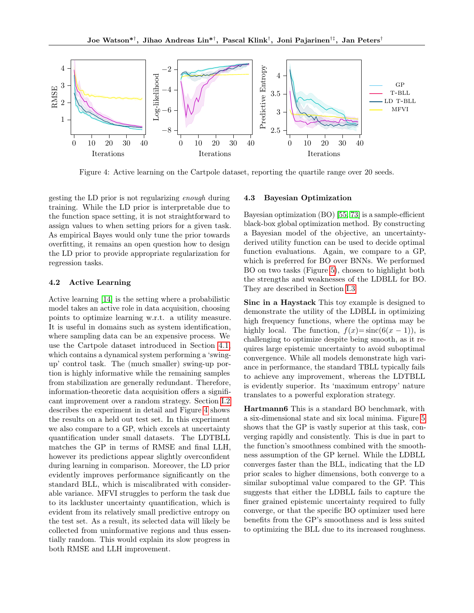<span id="page-7-0"></span>

Figure 4: Active learning on the Cartpole dataset, reporting the quartile range over 20 seeds.

gesting the LD prior is not regularizing enough during training. While the LD prior is interpretable due to the function space setting, it is not straightforward to assign values to when setting priors for a given task. As empirical Bayes would only tune the prior towards overfitting, it remains an open question how to design the LD prior to provide appropriate regularization for regression tasks.

#### 4.2 Active Learning

Active learning [\[14\]](#page-10-13) is the setting where a probabilistic model takes an active role in data acquisition, choosing points to optimize learning w.r.t. a utility measure. It is useful in domains such as system identification, where sampling data can be an expensive process. We use the Cartpole dataset introduced in Section [4.1,](#page-6-0) which contains a dynamical system performing a 'swingup' control task. The (much smaller) swing-up portion is highly informative while the remaining samples from stabilization are generally redundant. Therefore, information-theoretic data acquisition offers a significant improvement over a random strategy. Section [I.2](#page--1-6) describes the experiment in detail and Figure [4](#page-7-0) shows the results on a held out test set. In this experiment we also compare to a GP, which excels at uncertainty quantification under small datasets. The LDTBLL matches the GP in terms of RMSE and final LLH, however its predictions appear slightly overconfident during learning in comparison. Moreover, the LD prior evidently improves performance significantly on the standard BLL, which is miscalibrated with considerable variance. MFVI struggles to perform the task due to its lackluster uncertainty quantification, which is evident from its relatively small predictive entropy on the test set. As a result, its selected data will likely be collected from uninformative regions and thus essentially random. This would explain its slow progress in both RMSE and LLH improvement.

#### 4.3 Bayesian Optimization

Bayesian optimization (BO) [\[55,](#page-11-12) [73\]](#page-12-13) is a sample-efficient black-box global optimization method. By constructing a Bayesian model of the objective, an uncertaintyderived utility function can be used to decide optimal function evaluations. Again, we compare to a GP, which is preferred for BO over BNNs. We performed BO on two tasks (Figure [5\)](#page-8-0), chosen to highlight both the strengths and weaknesses of the LDBLL for BO. They are described in Section [I.3](#page--1-0)

Sinc in a Haystack This toy example is designed to demonstrate the utility of the LDBLL in optimizing high frequency functions, where the optima may be highly local. The function,  $f(x)=\text{sinc}(6(x-1))$ , is challenging to optimize despite being smooth, as it requires large epistemic uncertainty to avoid suboptimal convergence. While all models demonstrate high variance in performance, the standard TBLL typically fails to achieve any improvement, whereas the LDTBLL is evidently superior. Its 'maximum entropy' nature translates to a powerful exploration strategy.

Hartmann6 This is a standard BO benchmark, with a six-dimensional state and six local minima. Figure [5](#page-8-0) shows that the GP is vastly superior at this task, converging rapidly and consistently. This is due in part to the function's smoothness combined with the smoothness assumption of the GP kernel. While the LDBLL converges faster than the BLL, indicating that the LD prior scales to higher dimensions, both converge to a similar suboptimal value compared to the GP. This suggests that either the LDBLL fails to capture the finer grained epistemic uncertainty required to fully converge, or that the specific BO optimizer used here benefits from the GP's smoothness and is less suited to optimizing the BLL due to its increased roughness.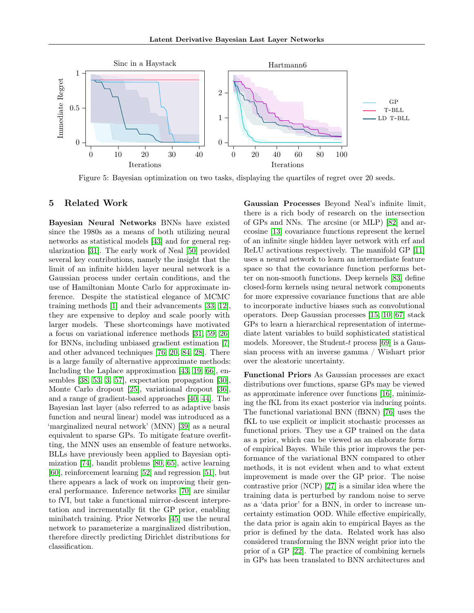<span id="page-8-0"></span>

Figure 5: Bayesian optimization on two tasks, displaying the quartiles of regret over 20 seeds.

## 5 Related Work

Bayesian Neural Networks BNNs have existed since the 1980s as a means of both utilizing neural networks as statistical models [\[43\]](#page-11-0) and for general regularization [\[31\]](#page-10-14). The early work of Neal [\[50\]](#page-11-1) provided several key contributions, namely the insight that the limit of an infinite hidden layer neural network is a Gaussian process under certain conditions, and the use of Hamiltonian Monte Carlo for approximate inference. Despite the statistical elegance of MCMC training methods [\[1\]](#page-9-4) and their advancements [\[33,](#page-10-15) [12\]](#page-9-5), they are expensive to deploy and scale poorly with larger models. These shortcomings have motivated a focus on variational inference methods [\[31,](#page-10-14) [59,](#page-11-13) [26\]](#page-10-16) for BNNs, including unbiased gradient estimation [\[7\]](#page-9-0) and other advanced techniques [\[76,](#page-12-7) [20,](#page-10-17) [84,](#page-12-14) [28\]](#page-10-18). There is a large family of alternative approximate methods: Including the Laplace approximation [\[43,](#page-11-0) [19,](#page-10-1) [66\]](#page-12-15), ensembles [\[38,](#page-11-2) [53,](#page-11-3) [3,](#page-9-6) [57\]](#page-11-14), expectation propagation [\[30\]](#page-10-0), Monte Carlo dropout [\[25\]](#page-10-2), variational dropout [\[36\]](#page-10-19), and a range of gradient-based approaches [\[40,](#page-11-15) [44\]](#page-11-11). The Bayesian last layer (also referred to as adaptive basis function and neural linear) model was introduced as a 'marginalized neural network' (MNN) [\[39\]](#page-11-5) as a neural equivalent to sparse GPs. To mitigate feature overfitting, the MNN uses an ensemble of feature networks. BLLs have previously been applied to Bayesian optimization [\[74\]](#page-12-16), bandit problems [\[80,](#page-12-17) [65\]](#page-12-18), active learning [\[60\]](#page-11-16), reinforcement learning [\[52\]](#page-11-17) and regression [\[51\]](#page-11-6), but there appears a lack of work on improving their general performance. Inference networks [\[70\]](#page-12-19) are similar to fVI, but take a functional mirror-descent interpretation and incrementally fit the GP prior, enabling minibatch training. Prior Networks [\[45\]](#page-11-18) use the neural network to parameterize a marginalized distribution, therefore directly predicting Dirichlet distributions for classification.

Gaussian Processes Beyond Neal's infinite limit, there is a rich body of research on the intersection of GPs and NNs. The arcsine (or MLP) [\[82\]](#page-12-20) and arccosine [\[13\]](#page-9-7) covariance functions represent the kernel of an infinite single hidden layer network with erf and ReLU activations respectively. The manifold GP [\[11\]](#page-9-8) uses a neural network to learn an intermediate feature space so that the covariance function performs better on non-smooth functions. Deep kernels [\[83\]](#page-12-21) define closed-form kernels using neural network components for more expressive covariance functions that are able to incorporate inductive biases such as convolutional operators. Deep Gaussian processes [\[15,](#page-10-20) [10,](#page-9-9) [67\]](#page-12-22) stack GPs to learn a hierarchical representation of intermediate latent variables to build sophisticated statistical models. Moreover, the Student-t process [\[69\]](#page-12-23) is a Gaussian process with an inverse gamma / Wishart prior over the aleatoric uncertainty.

Functional Priors As Gaussian processes are exact distributions over functions, sparse GPs may be viewed as approximate inference over functions [\[16\]](#page-10-9), minimizing the fKL from its exact posterior via inducing points. The functional variational BNN (fBNN) [\[76\]](#page-12-7) uses the fKL to use explicit or implicit stochastic processes as functional priors. They use a GP trained on the data as a prior, which can be viewed as an elaborate form of empirical Bayes. While this prior improves the performance of the variational BNN compared to other methods, it is not evident when and to what extent improvement is made over the GP prior. The noise contrastive prior (NCP) [\[27\]](#page-10-8) is a similar idea where the training data is perturbed by random noise to serve as a 'data prior' for a BNN, in order to increase uncertainty estimation OOD. While effective empirically, the data prior is again akin to empirical Bayes as the prior is defined by the data. Related work has also considered transforming the BNN weight prior into the prior of a GP [\[22\]](#page-10-21). The practice of combining kernels in GPs has been translated to BNN architectures and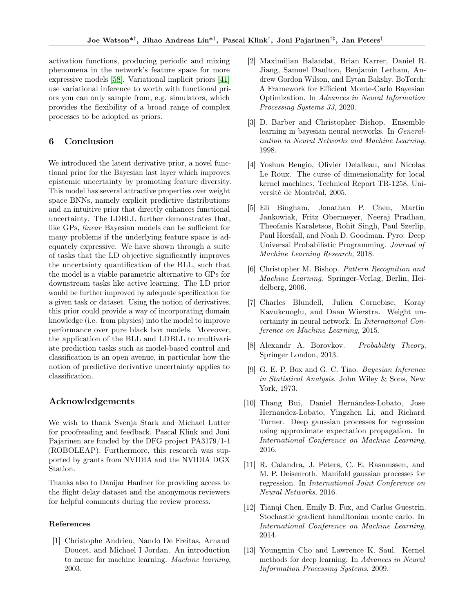activation functions, producing periodic and mixing phenomena in the network's feature space for more expressive models [\[58\]](#page-11-19). Variational implicit priors [\[41\]](#page-11-20) use variational inference to worth with functional priors you can only sample from, e.g. simulators, which provides the flexibility of a broad range of complex processes to be adopted as priors.

## 6 Conclusion

We introduced the latent derivative prior, a novel functional prior for the Bayesian last layer which improves epistemic uncertainty by promoting feature diversity. This model has several attractive properties over weight space BNNs, namely explicit predictive distributions and an intuitive prior that directly enhances functional uncertainty. The LDBLL further demonstrates that, like GPs, linear Bayesian models can be sufficient for many problems if the underlying feature space is adequately expressive. We have shown through a suite of tasks that the LD objective significantly improves the uncertainty quantification of the BLL, such that the model is a viable parametric alternative to GPs for downstream tasks like active learning. The LD prior would be further improved by adequate specification for a given task or dataset. Using the notion of derivatives, this prior could provide a way of incorporating domain knowledge (i.e. from physics) into the model to improve performance over pure black box models. Moreover, the application of the BLL and LDBLL to multivariate prediction tasks such as model-based control and classification is an open avenue, in particular how the notion of predictive derivative uncertainty applies to classification.

## Acknowledgements

We wish to thank Svenja Stark and Michael Lutter for proofreading and feedback. Pascal Klink and Joni Pajarinen are funded by the DFG project PA3179/1-1 (ROBOLEAP). Furthermore, this research was supported by grants from NVIDIA and the NVIDIA DGX Station.

Thanks also to Danijar Hanfner for providing access to the flight delay dataset and the anonymous reviewers for helpful comments during the review process.

#### <span id="page-9-4"></span>References

[1] Christophe Andrieu, Nando De Freitas, Arnaud Doucet, and Michael I Jordan. An introduction to mcmc for machine learning. Machine learning, 2003.

- [2] Maximilian Balandat, Brian Karrer, Daniel R. Jiang, Samuel Daulton, Benjamin Letham, Andrew Gordon Wilson, and Eytan Bakshy. BoTorch: A Framework for Efficient Monte-Carlo Bayesian Optimization. In Advances in Neural Information Processing Systems 33, 2020.
- <span id="page-9-6"></span>[3] D. Barber and Christopher Bishop. Ensemble learning in bayesian neural networks. In Generalization in Neural Networks and Machine Learning, 1998.
- <span id="page-9-1"></span>[4] Yoshua Bengio, Olivier Delalleau, and Nicolas Le Roux. The curse of dimensionality for local kernel machines. Technical Report TR-1258, Université de Montréal, 2005.
- [5] Eli Bingham, Jonathan P. Chen, Martin Jankowiak, Fritz Obermeyer, Neeraj Pradhan, Theofanis Karaletsos, Rohit Singh, Paul Szerlip, Paul Horsfall, and Noah D. Goodman. Pyro: Deep Universal Probabilistic Programming. Journal of Machine Learning Research, 2018.
- <span id="page-9-3"></span>[6] Christopher M. Bishop. Pattern Recognition and Machine Learning. Springer-Verlag, Berlin, Heidelberg, 2006.
- <span id="page-9-0"></span>[7] Charles Blundell, Julien Cornebise, Koray Kavukcuoglu, and Daan Wierstra. Weight uncertainty in neural network. In International Conference on Machine Learning, 2015.
- [8] Alexandr A. Borovkov. Probability Theory. Springer London, 2013.
- <span id="page-9-2"></span>[9] G. E. P. Box and G. C. Tiao. Bayesian Inference in Statistical Analysis. John Wiley & Sons, New York, 1973.
- <span id="page-9-9"></span>[10] Thang Bui, Daniel Hernández-Lobato, Jose Hernandez-Lobato, Yingzhen Li, and Richard Turner. Deep gaussian processes for regression using approximate expectation propagation. In International Conference on Machine Learning, 2016.
- <span id="page-9-8"></span>[11] R. Calandra, J. Peters, C. E. Rasmussen, and M. P. Deisenroth. Manifold gaussian processes for regression. In International Joint Conference on Neural Networks, 2016.
- <span id="page-9-5"></span>[12] Tianqi Chen, Emily B. Fox, and Carlos Guestrin. Stochastic gradient hamiltonian monte carlo. In International Conference on Machine Learning, 2014.
- <span id="page-9-7"></span>[13] Youngmin Cho and Lawrence K. Saul. Kernel methods for deep learning. In Advances in Neural Information Processing Systems, 2009.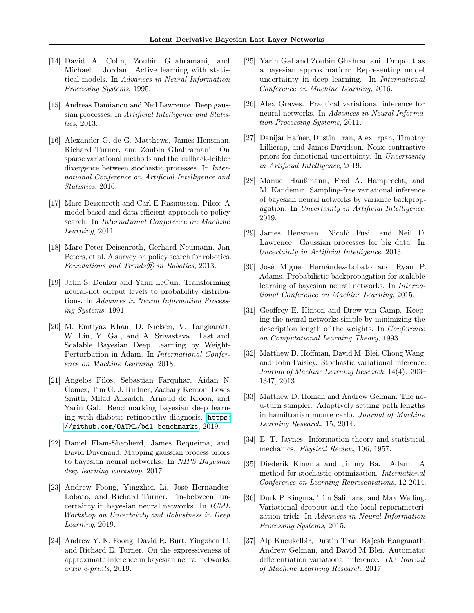- <span id="page-10-13"></span>[14] David A. Cohn, Zoubin Ghahramani, and Michael I. Jordan. Active learning with statistical models. In Advances in Neural Information Processing Systems, 1995.
- <span id="page-10-20"></span>[15] Andreas Damianou and Neil Lawrence. Deep gaussian processes. In Artificial Intelligence and Statistics, 2013.
- <span id="page-10-9"></span>[16] Alexander G. de G. Matthews, James Hensman, Richard Turner, and Zoubin Ghahramani. On sparse variational methods and the kullback-leibler divergence between stochastic processes. In International Conference on Artificial Intelligence and Statistics, 2016.
- <span id="page-10-6"></span>[17] Marc Deisenroth and Carl E Rasmussen. Pilco: A model-based and data-efficient approach to policy search. In International Conference on Machine Learning, 2011.
- <span id="page-10-10"></span>[18] Marc Peter Deisenroth, Gerhard Neumann, Jan Peters, et al. A survey on policy search for robotics. Foundations and Trends $\widehat{R}$  in Robotics, 2013.
- <span id="page-10-1"></span>[19] John S. Denker and Yann LeCun. Transforming neural-net output levels to probability distributions. In Advances in Neural Information Processing Systems, 1991.
- <span id="page-10-17"></span>[20] M. Emtiyaz Khan, D. Nielsen, V. Tangkaratt, W. Lin, Y. Gal, and A. Srivastava. Fast and Scalable Bayesian Deep Learning by Weight-Perturbation in Adam. In International Conference on Machine Learning, 2018.
- <span id="page-10-5"></span>[21] Angelos Filos, Sebastian Farquhar, Aidan N. Gomez, Tim G. J. Rudner, Zachary Kenton, Lewis Smith, Milad Alizadeh, Arnoud de Kroon, and Yarin Gal. Benchmarking bayesian deep learning with diabetic retinopathy diagnosis. [https:](https://github.com/OATML/bdl-benchmarks) [//github.com/OATML/bdl-benchmarks](https://github.com/OATML/bdl-benchmarks), 2019.
- <span id="page-10-21"></span>[22] Daniel Flam-Shepherd, James Requeima, and David Duvenaud. Mapping gaussian process priors to bayesian neural networks. In NIPS Bayesian deep learning workshop, 2017.
- <span id="page-10-4"></span>[23] Andrew Foong, Yingzhen Li, José Hernández-Lobato, and Richard Turner. 'in-between' uncertainty in bayesian neural networks. In ICML Workshop on Uncertainty and Robustness in Deep Learning, 2019.
- <span id="page-10-3"></span>[24] Andrew Y. K. Foong, David R. Burt, Yingzhen Li, and Richard E. Turner. On the expressiveness of approximate inference in bayesian neural networks. arxiv e-prints, 2019.
- <span id="page-10-2"></span>[25] Yarin Gal and Zoubin Ghahramani. Dropout as a bayesian approximation: Representing model uncertainty in deep learning. In International Conference on Machine Learning, 2016.
- <span id="page-10-16"></span>[26] Alex Graves. Practical variational inference for neural networks. In Advances in Neural Information Processing Systems, 2011.
- <span id="page-10-8"></span>[27] Danijar Hafner, Dustin Tran, Alex Irpan, Timothy Lillicrap, and James Davidson. Noise contrastive priors for functional uncertainty. In Uncertainty in Artificial Intelligence, 2019.
- <span id="page-10-18"></span>[28] Manuel Haußmann, Fred A. Hamprecht, and M. Kandemir. Sampling-free variational inference of bayesian neural networks by variance backpropagation. In Uncertainty in Artificial Intelligence, 2019.
- <span id="page-10-7"></span>[29] James Hensman, Nicolò Fusi, and Neil D. Lawrence. Gaussian processes for big data. In Uncertainty in Artificial Intelligence, 2013.
- <span id="page-10-0"></span>[30] José Miguel Hernández-Lobato and Ryan P. Adams. Probabilistic backpropagation for scalable learning of bayesian neural networks. In International Conference on Machine Learning, 2015.
- <span id="page-10-14"></span>[31] Geoffrey E. Hinton and Drew van Camp. Keeping the neural networks simple by minimizing the description length of the weights. In Conference on Computational Learning Theory, 1993.
- <span id="page-10-12"></span>[32] Matthew D. Hoffman, David M. Blei, Chong Wang, and John Paisley. Stochastic variational inference. Journal of Machine Learning Research, 14(4):1303– 1347, 2013.
- <span id="page-10-15"></span>[33] Matthew D. Homan and Andrew Gelman. The nou-turn sampler: Adaptively setting path lengths in hamiltonian monte carlo. Journal of Machine Learning Research, 15, 2014.
- <span id="page-10-11"></span>[34] E. T. Jaynes. Information theory and statistical mechanics. Physical Review, 106, 1957.
- [35] Diederik Kingma and Jimmy Ba. Adam: A method for stochastic optimization. International Conference on Learning Representations, 12 2014.
- <span id="page-10-19"></span>[36] Durk P Kingma, Tim Salimans, and Max Welling. Variational dropout and the local reparameterization trick. In Advances in Neural Information Processing Systems, 2015.
- [37] Alp Kucukelbir, Dustin Tran, Rajesh Ranganath, Andrew Gelman, and David M Blei. Automatic differentiation variational inference. The Journal of Machine Learning Research, 2017.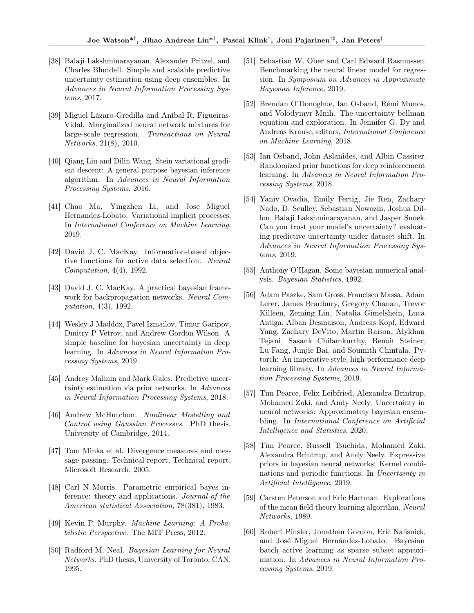- <span id="page-11-2"></span>[38] Balaji Lakshminarayanan, Alexander Pritzel, and Charles Blundell. Simple and scalable predictive uncertainty estimation using deep ensembles. In Advances in Neural Information Processing Systems, 2017.
- <span id="page-11-5"></span>[39] Miguel Lázaro-Gredilla and Aníbal R. Figueiras-Vidal. Marginalized neural network mixtures for large-scale regression. Transactions on Neural Networks, 21(8), 2010.
- <span id="page-11-15"></span>[40] Qiang Liu and Dilin Wang. Stein variational gradient descent: A general purpose bayesian inference algorithm. In Advances in Neural Information Processing Systems, 2016.
- <span id="page-11-20"></span>[41] Chao Ma, Yingzhen Li, and Jose Miguel Hernandez-Lobato. Variational implicit processes. In International Conference on Machine Learning, 2019.
- [42] David J. C. MacKay. Information-based objective functions for active data selection. Neural Computation, 4(4), 1992.
- <span id="page-11-0"></span>[43] David J. C. MacKay. A practical bayesian framework for backpropagation networks. Neural Computation, 4(3), 1992.
- <span id="page-11-11"></span>[44] Wesley J Maddox, Pavel Izmailov, Timur Garipov, Dmitry P Vetrov, and Andrew Gordon Wilson. A simple baseline for bayesian uncertainty in deep learning. In Advances in Neural Information Processing Systems, 2019.
- <span id="page-11-18"></span>[45] Andrey Malinin and Mark Gales. Predictive uncertainty estimation via prior networks. In Advances in Neural Information Processing Systems, 2018.
- <span id="page-11-8"></span>[46] Andrew McHutchon. Nonlinear Modelling and Control using Gaussian Processes. PhD thesis, University of Cambridge, 2014.
- <span id="page-11-9"></span>[47] Tom Minka et al. Divergence measures and message passing. Technical report, Technical report, Microsoft Research, 2005.
- <span id="page-11-10"></span>[48] Carl N Morris. Parametric empirical bayes inference: theory and applications. Journal of the American statistical Association, 78(381), 1983.
- <span id="page-11-7"></span>[49] Kevin P. Murphy. Machine Learning: A Probabilistic Perspective. The MIT Press, 2012.
- <span id="page-11-1"></span>[50] Radford M. Neal. Bayesian Learning for Neural Networks. PhD thesis, University of Toronto, CAN, 1995.
- <span id="page-11-6"></span>[51] Sebastian W. Ober and Carl Edward Rasmussen. Benchmarking the neural linear model for regression. In Symposium on Advances in Approximate Bayesian Inference, 2019.
- <span id="page-11-17"></span>[52] Brendan O'Donoghue, Ian Osband, Rémi Munos, and Volodymyr Mnih. The uncertainty bellman equation and exploration. In Jennifer G. Dy and Andreas Krause, editors, International Conference on Machine Learning, 2018.
- <span id="page-11-3"></span>[53] Ian Osband, John Aslanides, and Albin Cassirer. Randomized prior functions for deep reinforcement learning. In Advances in Neural Information Processing Systems, 2018.
- <span id="page-11-4"></span>[54] Yaniv Ovadia, Emily Fertig, Jie Ren, Zachary Nado, D. Sculley, Sebastian Nowozin, Joshua Dillon, Balaji Lakshminarayanan, and Jasper Snoek. Can you trust your model's uncertainty? evaluating predictive uncertainty under dataset shift. In Advances in Neural Information Processing Systems, 2019.
- <span id="page-11-12"></span>[55] Anthony O'Hagan. Some bayesian numerical analysis. Bayesian Statistics, 1992.
- [56] Adam Paszke, Sam Gross, Francisco Massa, Adam Lerer, James Bradbury, Gregory Chanan, Trevor Killeen, Zeming Lin, Natalia Gimelshein, Luca Antiga, Alban Desmaison, Andreas Kopf, Edward Yang, Zachary DeVito, Martin Raison, Alykhan Tejani, Sasank Chilamkurthy, Benoit Steiner, Lu Fang, Junjie Bai, and Soumith Chintala. Pytorch: An imperative style, high-performance deep learning library. In Advances in Neural Information Processing Systems, 2019.
- <span id="page-11-14"></span>[57] Tim Pearce, Felix Leibfried, Alexandra Brintrup, Mohamed Zaki, and Andy Neely. Uncertainty in neural networks: Approximately bayesian ensembling. In International Conference on Artificial Intelligence and Statistics, 2020.
- <span id="page-11-19"></span>[58] Tim Pearce, Russell Tsuchida, Mohamed Zaki, Alexandra Brintrup, and Andy Neely. Expressive priors in bayesian neural networks: Kernel combinations and periodic functions. In Uncertainty in Artificial Intelligence, 2019.
- <span id="page-11-13"></span>[59] Carsten Peterson and Eric Hartman. Explorations of the mean field theory learning algorithm. Neural Networks, 1989.
- <span id="page-11-16"></span>[60] Robert Pinsler, Jonathan Gordon, Eric Nalisnick, and José Miguel Hernández-Lobato. Bayesian batch active learning as sparse subset approximation. In Advances in Neural Information Processing Systems, 2019.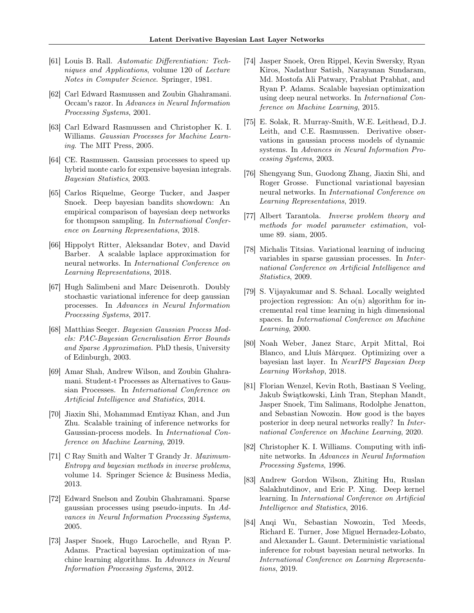- <span id="page-12-8"></span>[61] Louis B. Rall. Automatic Differentiation: Techniques and Applications, volume 120 of Lecture Notes in Computer Science. Springer, 1981.
- <span id="page-12-9"></span>[62] Carl Edward Rasmussen and Zoubin Ghahramani. Occam's razor. In Advances in Neural Information Processing Systems, 2001.
- <span id="page-12-1"></span>[63] Carl Edward Rasmussen and Christopher K. I. Williams. Gaussian Processes for Machine Learning. The MIT Press, 2005.
- <span id="page-12-4"></span>[64] CE. Rasmussen. Gaussian processes to speed up hybrid monte carlo for expensive bayesian integrals. Bayesian Statistics, 2003.
- <span id="page-12-18"></span>[65] Carlos Riquelme, George Tucker, and Jasper Snoek. Deep bayesian bandits showdown: An empirical comparison of bayesian deep networks for thompson sampling. In International Conference on Learning Representations, 2018.
- <span id="page-12-15"></span>[66] Hippolyt Ritter, Aleksandar Botev, and David Barber. A scalable laplace approximation for neural networks. In International Conference on Learning Representations, 2018.
- <span id="page-12-22"></span>[67] Hugh Salimbeni and Marc Deisenroth. Doubly stochastic variational inference for deep gaussian processes. In Advances in Neural Information Processing Systems, 2017.
- <span id="page-12-6"></span>[68] Matthias Seeger. Bayesian Gaussian Process Models: PAC-Bayesian Generalisation Error Bounds and Sparse Approximation. PhD thesis, University of Edinburgh, 2003.
- <span id="page-12-23"></span>[69] Amar Shah, Andrew Wilson, and Zoubin Ghahramani. Student-t Processes as Alternatives to Gaussian Processes. In International Conference on Artificial Intelligence and Statistics, 2014.
- <span id="page-12-19"></span>[70] Jiaxin Shi, Mohammad Emtiyaz Khan, and Jun Zhu. Scalable training of inference networks for Gaussian-process models. In International Conference on Machine Learning, 2019.
- <span id="page-12-11"></span>[71] C Ray Smith and Walter T Grandy Jr. Maximum-Entropy and bayesian methods in inverse problems, volume 14. Springer Science & Business Media, 2013.
- <span id="page-12-3"></span>[72] Edward Snelson and Zoubin Ghahramani. Sparse gaussian processes using pseudo-inputs. In Advances in Neural Information Processing Systems, 2005.
- <span id="page-12-13"></span>[73] Jasper Snoek, Hugo Larochelle, and Ryan P. Adams. Practical bayesian optimization of machine learning algorithms. In Advances in Neural Information Processing Systems, 2012.
- <span id="page-12-16"></span>[74] Jasper Snoek, Oren Rippel, Kevin Swersky, Ryan Kiros, Nadathur Satish, Narayanan Sundaram, Md. Mostofa Ali Patwary, Prabhat Prabhat, and Ryan P. Adams. Scalable bayesian optimization using deep neural networks. In International Conference on Machine Learning, 2015.
- <span id="page-12-5"></span>[75] E. Solak, R. Murray-Smith, W.E. Leithead, D.J. Leith, and C.E. Rasmussen. Derivative observations in gaussian process models of dynamic systems. In Advances in Neural Information Processing Systems, 2003.
- <span id="page-12-7"></span>[76] Shengyang Sun, Guodong Zhang, Jiaxin Shi, and Roger Grosse. Functional variational bayesian neural networks. In International Conference on Learning Representations, 2019.
- <span id="page-12-10"></span>[77] Albert Tarantola. Inverse problem theory and methods for model parameter estimation, volume 89. siam, 2005.
- <span id="page-12-2"></span>[78] Michalis Titsias. Variational learning of inducing variables in sparse gaussian processes. In International Conference on Artificial Intelligence and Statistics, 2009.
- <span id="page-12-12"></span>[79] S. Vijayakumar and S. Schaal. Locally weighted projection regression: An  $o(n)$  algorithm for incremental real time learning in high dimensional spaces. In International Conference on Machine Learning, 2000.
- <span id="page-12-17"></span>[80] Noah Weber, Janez Starc, Arpit Mittal, Roi Blanco, and Lluís Màrquez. Optimizing over a bayesian last layer. In NeurIPS Bayesian Deep Learning Workshop, 2018.
- <span id="page-12-0"></span>[81] Florian Wenzel, Kevin Roth, Bastiaan S Veeling, Jakub Świątkowski, Linh Tran, Stephan Mandt, Jasper Snoek, Tim Salimans, Rodolphe Jenatton, and Sebastian Nowozin. How good is the bayes posterior in deep neural networks really? In International Conference on Machine Learning, 2020.
- <span id="page-12-20"></span>[82] Christopher K. I. Williams. Computing with infinite networks. In Advances in Neural Information Processing Systems, 1996.
- <span id="page-12-21"></span>[83] Andrew Gordon Wilson, Zhiting Hu, Ruslan Salakhutdinov, and Eric P. Xing. Deep kernel learning. In International Conference on Artificial Intelligence and Statistics, 2016.
- <span id="page-12-14"></span>[84] Anqi Wu, Sebastian Nowozin, Ted Meeds, Richard E. Turner, Jose Miguel Hernadez-Lobato, and Alexander L. Gaunt. Deterministic variational inference for robust bayesian neural networks. In International Conference on Learning Representations, 2019.